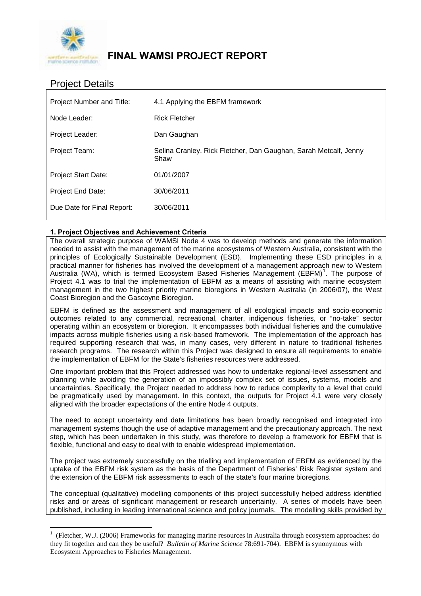

-

# Project Details

| Project Number and Title:  | 4.1 Applying the EBFM framework                                          |
|----------------------------|--------------------------------------------------------------------------|
| Node Leader:               | <b>Rick Fletcher</b>                                                     |
| Project Leader:            | Dan Gaughan                                                              |
| Project Team:              | Selina Cranley, Rick Fletcher, Dan Gaughan, Sarah Metcalf, Jenny<br>Shaw |
| <b>Project Start Date:</b> | 01/01/2007                                                               |
| Project End Date:          | 30/06/2011                                                               |
| Due Date for Final Report: | 30/06/2011                                                               |

## **1. Project Objectives and Achievement Criteria**

The overall strategic purpose of WAMSI Node 4 was to develop methods and generate the information needed to assist with the management of the marine ecosystems of Western Australia, consistent with the principles of Ecologically Sustainable Development (ESD). Implementing these ESD principles in a practical manner for fisheries has involved the development of a management approach new to Western Australia (WA), which is termed Ecosystem Based Fisheries Management (EBFM)<sup>[1](#page-0-0)</sup>. The purpose of Project 4.1 was to trial the implementation of EBFM as a means of assisting with marine ecosystem management in the two highest priority marine bioregions in Western Australia (in 2006/07), the West Coast Bioregion and the Gascoyne Bioregion.

EBFM is defined as the assessment and management of all ecological impacts and socio-economic outcomes related to any commercial, recreational, charter, indigenous fisheries, or "no-take" sector operating within an ecosystem or bioregion. It encompasses both individual fisheries and the cumulative impacts across multiple fisheries using a risk-based framework. The implementation of the approach has required supporting research that was, in many cases, very different in nature to traditional fisheries research programs. The research within this Project was designed to ensure all requirements to enable the implementation of EBFM for the State's fisheries resources were addressed.

One important problem that this Project addressed was how to undertake regional-level assessment and planning while avoiding the generation of an impossibly complex set of issues, systems, models and uncertainties. Specifically, the Project needed to address how to reduce complexity to a level that could be pragmatically used by management. In this context, the outputs for Project 4.1 were very closely aligned with the broader expectations of the entire Node 4 outputs.

The need to accept uncertainty and data limitations has been broadly recognised and integrated into management systems though the use of adaptive management and the precautionary approach. The next step, which has been undertaken in this study, was therefore to develop a framework for EBFM that is flexible, functional and easy to deal with to enable widespread implementation.

The project was extremely successfully on the trialling and implementation of EBFM as evidenced by the uptake of the EBFM risk system as the basis of the Department of Fisheries' Risk Register system and the extension of the EBFM risk assessments to each of the state's four marine bioregions.

The conceptual (qualitative) modelling components of this project successfully helped address identified risks and or areas of significant management or research uncertainty. A series of models have been published, including in leading international science and policy journals. The modelling skills provided by

<span id="page-0-0"></span><sup>&</sup>lt;sup>1</sup> (Fletcher, W.J. (2006) Frameworks for managing marine resources in Australia through ecosystem approaches: do they fit together and can they be useful? *Bulletin of Marine Science* 78:691-704). EBFM is synonymous with Ecosystem Approaches to Fisheries Management.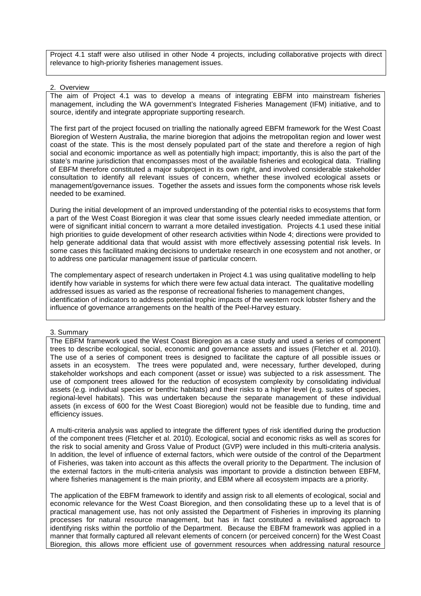Project 4.1 staff were also utilised in other Node 4 projects, including collaborative projects with direct relevance to high-priority fisheries management issues.

### 2. Overview

The aim of Project 4.1 was to develop a means of integrating EBFM into mainstream fisheries management, including the WA government's Integrated Fisheries Management (IFM) initiative, and to source, identify and integrate appropriate supporting research.

The first part of the project focused on trialling the nationally agreed EBFM framework for the West Coast Bioregion of Western Australia, the marine bioregion that adjoins the metropolitan region and lower west coast of the state. This is the most densely populated part of the state and therefore a region of high social and economic importance as well as potentially high impact; importantly, this is also the part of the state's marine jurisdiction that encompasses most of the available fisheries and ecological data. Trialling of EBFM therefore constituted a major subproject in its own right, and involved considerable stakeholder consultation to identify all relevant issues of concern, whether these involved ecological assets or management/governance issues. Together the assets and issues form the components whose risk levels needed to be examined.

During the initial development of an improved understanding of the potential risks to ecosystems that form a part of the West Coast Bioregion it was clear that some issues clearly needed immediate attention, or were of significant initial concern to warrant a more detailed investigation. Projects 4.1 used these initial high priorities to guide development of other research activities within Node 4; directions were provided to help generate additional data that would assist with more effectively assessing potential risk levels. In some cases this facilitated making decisions to undertake research in one ecosystem and not another, or to address one particular management issue of particular concern.

The complementary aspect of research undertaken in Project 4.1 was using qualitative modelling to help identify how variable in systems for which there were few actual data interact. The qualitative modelling addressed issues as varied as the response of recreational fisheries to management changes, identification of indicators to address potential trophic impacts of the western rock lobster fishery and the influence of governance arrangements on the health of the Peel-Harvey estuary.

## 3. Summary

The EBFM framework used the West Coast Bioregion as a case study and used a series of component trees to describe ecological, social, economic and governance assets and issues (Fletcher et al. 2010). The use of a series of component trees is designed to facilitate the capture of all possible issues or assets in an ecosystem. The trees were populated and, were necessary, further developed, during stakeholder workshops and each component (asset or issue) was subjected to a risk assessment. The use of component trees allowed for the reduction of ecosystem complexity by consolidating individual assets (e.g. individual species or benthic habitats) and their risks to a higher level (e.g. suites of species, regional-level habitats). This was undertaken because the separate management of these individual assets (in excess of 600 for the West Coast Bioregion) would not be feasible due to funding, time and efficiency issues.

A multi-criteria analysis was applied to integrate the different types of risk identified during the production of the component trees (Fletcher et al. 2010). Ecological, social and economic risks as well as scores for the risk to social amenity and Gross Value of Product (GVP) were included in this multi-criteria analysis. In addition, the level of influence of external factors, which were outside of the control of the Department of Fisheries, was taken into account as this affects the overall priority to the Department. The inclusion of the external factors in the multi-criteria analysis was important to provide a distinction between EBFM, where fisheries management is the main priority, and EBM where all ecosystem impacts are a priority.

The application of the EBFM framework to identify and assign risk to all elements of ecological, social and economic relevance for the West Coast Bioregion, and then consolidating these up to a level that is of practical management use, has not only assisted the Department of Fisheries in improving its planning processes for natural resource management, but has in fact constituted a revitalised approach to identifying risks within the portfolio of the Department. Because the EBFM framework was applied in a manner that formally captured all relevant elements of concern (or perceived concern) for the West Coast Bioregion, this allows more efficient use of government resources when addressing natural resource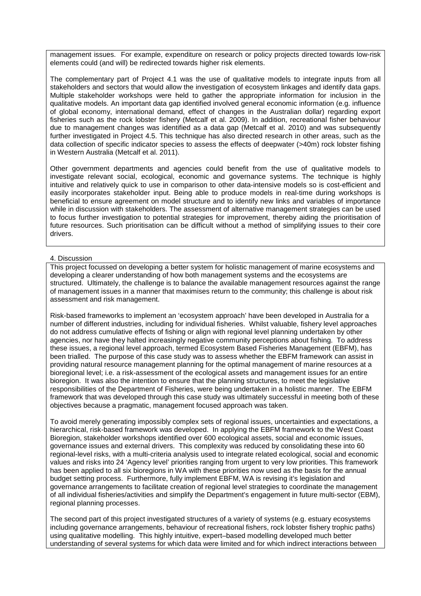management issues. For example, expenditure on research or policy projects directed towards low-risk elements could (and will) be redirected towards higher risk elements.

The complementary part of Project 4.1 was the use of qualitative models to integrate inputs from all stakeholders and sectors that would allow the investigation of ecosystem linkages and identify data gaps. Multiple stakeholder workshops were held to gather the appropriate information for inclusion in the qualitative models. An important data gap identified involved general economic information (e.g. influence of global economy, international demand, effect of changes in the Australian dollar) regarding export fisheries such as the rock lobster fishery (Metcalf et al. 2009). In addition, recreational fisher behaviour due to management changes was identified as a data gap (Metcalf et al. 2010) and was subsequently further investigated in Project 4.5. This technique has also directed research in other areas, such as the data collection of specific indicator species to assess the effects of deepwater (>40m) rock lobster fishing in Western Australia (Metcalf et al. 2011).

Other government departments and agencies could benefit from the use of qualitative models to investigate relevant social, ecological, economic and governance systems. The technique is highly intuitive and relatively quick to use in comparison to other data-intensive models so is cost-efficient and easily incorporates stakeholder input. Being able to produce models in real-time during workshops is beneficial to ensure agreement on model structure and to identify new links and variables of importance while in discussion with stakeholders. The assessment of alternative management strategies can be used to focus further investigation to potential strategies for improvement, thereby aiding the prioritisation of future resources. Such prioritisation can be difficult without a method of simplifying issues to their core drivers.

#### 4. Discussion

This project focussed on developing a better system for holistic management of marine ecosystems and developing a clearer understanding of how both management systems and the ecosystems are structured. Ultimately, the challenge is to balance the available management resources against the range of management issues in a manner that maximises return to the community; this challenge is about risk assessment and risk management.

Risk-based frameworks to implement an 'ecosystem approach' have been developed in Australia for a number of different industries, including for individual fisheries. Whilst valuable, fishery level approaches do not address cumulative effects of fishing or align with regional level planning undertaken by other agencies, nor have they halted increasingly negative community perceptions about fishing. To address these issues, a regional level approach, termed Ecosystem Based Fisheries Management (EBFM), has been trialled. The purpose of this case study was to assess whether the EBFM framework can assist in providing natural resource management planning for the optimal management of marine resources at a bioregional level; i.e. a risk-assessment of the ecological assets and management issues for an entire bioregion. It was also the intention to ensure that the planning structures, to meet the legislative responsibilities of the Department of Fisheries, were being undertaken in a holistic manner. The EBFM framework that was developed through this case study was ultimately successful in meeting both of these objectives because a pragmatic, management focused approach was taken.

To avoid merely generating impossibly complex sets of regional issues, uncertainties and expectations, a hierarchical, risk-based framework was developed. In applying the EBFM framework to the West Coast Bioregion, stakeholder workshops identified over 600 ecological assets, social and economic issues, governance issues and external drivers. This complexity was reduced by consolidating these into 60 regional-level risks, with a multi-criteria analysis used to integrate related ecological, social and economic values and risks into 24 'Agency level' priorities ranging from urgent to very low priorities. This framework has been applied to all six bioregions in WA with these priorities now used as the basis for the annual budget setting process. Furthermore, fully implement EBFM, WA is revising it's legislation and governance arrangements to facilitate creation of regional level strategies to coordinate the management of all individual fisheries/activities and simplify the Department's engagement in future multi-sector (EBM), regional planning processes.

The second part of this project investigated structures of a variety of systems (e.g. estuary ecosystems including governance arrangements, behaviour of recreational fishers, rock lobster fishery trophic paths) using qualitative modelling. This highly intuitive, expert–based modelling developed much better understanding of several systems for which data were limited and for which indirect interactions between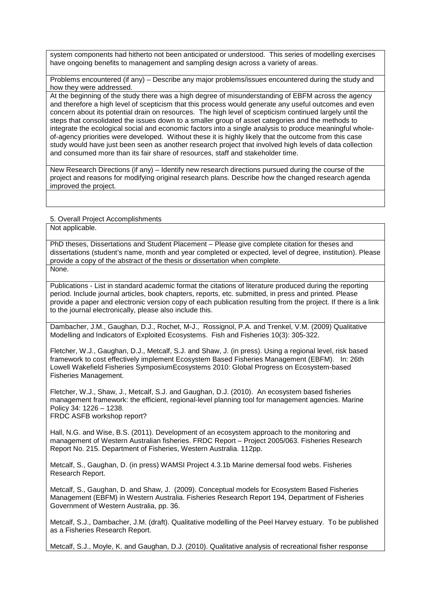system components had hitherto not been anticipated or understood. This series of modelling exercises have ongoing benefits to management and sampling design across a variety of areas.

Problems encountered (if any) – Describe any major problems/issues encountered during the study and how they were addressed.

At the beginning of the study there was a high degree of misunderstanding of EBFM across the agency and therefore a high level of scepticism that this process would generate any useful outcomes and even concern about its potential drain on resources. The high level of scepticism continued largely until the steps that consolidated the issues down to a smaller group of asset categories and the methods to integrate the ecological social and economic factors into a single analysis to produce meaningful wholeof-agency priorities were developed. Without these it is highly likely that the outcome from this case study would have just been seen as another research project that involved high levels of data collection and consumed more than its fair share of resources, staff and stakeholder time.

New Research Directions (if any) – Identify new research directions pursued during the course of the project and reasons for modifying original research plans. Describe how the changed research agenda improved the project.

5. Overall Project Accomplishments

Not applicable.

PhD theses, Dissertations and Student Placement – Please give complete citation for theses and dissertations (student's name, month and year completed or expected, level of degree, institution). Please provide a copy of the abstract of the thesis or dissertation when complete. None.

Publications - List in standard academic format the citations of literature produced during the reporting period. Include journal articles, book chapters, reports, etc. submitted, in press and printed. Please provide a paper and electronic version copy of each publication resulting from the project. If there is a link to the journal electronically, please also include this.

Dambacher, J.M., Gaughan, D.J., Rochet, M-J., Rossignol, P.A. and Trenkel, V.M. (2009) Qualitative Modelling and Indicators of Exploited Ecosystems. Fish and Fisheries 10(3): 305-322.

Fletcher, W.J., Gaughan, D.J., Metcalf, S.J. and Shaw, J. (in press). Using a regional level, risk based framework to cost effectively implement Ecosystem Based Fisheries Management (EBFM). In: 26th Lowell Wakefield Fisheries SymposiumEcosystems 2010: Global Progress on Ecosystem-based Fisheries Management.

Fletcher, W.J., Shaw, J., Metcalf, S.J. and Gaughan, D.J. (2010). An ecosystem based fisheries management framework: the efficient, regional-level planning tool for management agencies. Marine Policy 34: 1226 – 1238. FRDC ASFB workshop report?

Hall, N.G. and Wise, B.S. (2011). Development of an ecosystem approach to the monitoring and management of Western Australian fisheries. FRDC Report – Project 2005/063. Fisheries Research Report No. 215. Department of Fisheries, Western Australia. 112pp.

Metcalf, S., Gaughan, D. (in press) WAMSI Project 4.3.1b Marine demersal food webs. Fisheries Research Report.

Metcalf, S., Gaughan, D. and Shaw, J. (2009). Conceptual models for Ecosystem Based Fisheries Management (EBFM) in Western Australia. Fisheries Research Report 194, Department of Fisheries Government of Western Australia, pp. 36.

Metcalf, S.J., Dambacher, J.M. (draft). Qualitative modelling of the Peel Harvey estuary. To be published as a Fisheries Research Report.

Metcalf, S.J., Moyle, K. and Gaughan, D.J. (2010). Qualitative analysis of recreational fisher response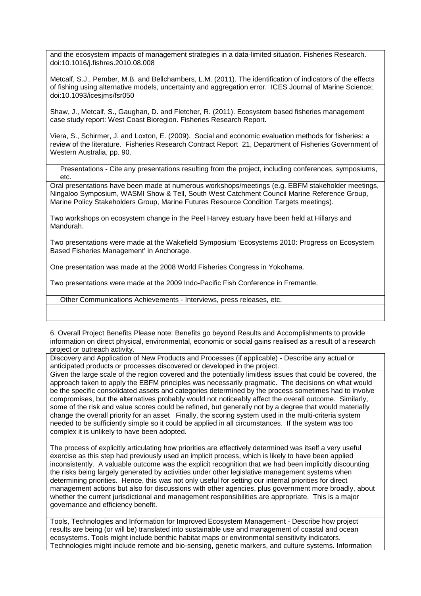and the ecosystem impacts of management strategies in a data-limited situation. Fisheries Research. doi:10.1016/j.fishres.2010.08.008

Metcalf, S.J., Pember, M.B. and Bellchambers, L.M. (2011). The identification of indicators of the effects of fishing using alternative models, uncertainty and aggregation error. ICES Journal of Marine Science; doi:10.1093/icesjms/fsr050

Shaw, J., Metcalf, S., Gaughan, D. and Fletcher, R. (2011). Ecosystem based fisheries management case study report: West Coast Bioregion. Fisheries Research Report.

Viera, S., Schirmer, J. and Loxton, E. (2009). Social and economic evaluation methods for fisheries: a review of the literature. Fisheries Research Contract Report 21, Department of Fisheries Government of Western Australia, pp. 90.

Presentations - Cite any presentations resulting from the project, including conferences, symposiums, etc.

Oral presentations have been made at numerous workshops/meetings (e.g. EBFM stakeholder meetings, Ningaloo Symposium, WASMI Show & Tell, South West Catchment Council Marine Reference Group, Marine Policy Stakeholders Group, Marine Futures Resource Condition Targets meetings).

Two workshops on ecosystem change in the Peel Harvey estuary have been held at Hillarys and Mandurah.

Two presentations were made at the Wakefield Symposium 'Ecosystems 2010: Progress on Ecosystem Based Fisheries Management' in Anchorage.

One presentation was made at the 2008 World Fisheries Congress in Yokohama.

Two presentations were made at the 2009 Indo-Pacific Fish Conference in Fremantle.

Other Communications Achievements - Interviews, press releases, etc.

6. Overall Project Benefits Please note: Benefits go beyond Results and Accomplishments to provide information on direct physical, environmental, economic or social gains realised as a result of a research project or outreach activity.

Discovery and Application of New Products and Processes (if applicable) - Describe any actual or anticipated products or processes discovered or developed in the project.

Given the large scale of the region covered and the potentially limitless issues that could be covered, the approach taken to apply the EBFM principles was necessarily pragmatic. The decisions on what would be the specific consolidated assets and categories determined by the process sometimes had to involve compromises, but the alternatives probably would not noticeably affect the overall outcome. Similarly, some of the risk and value scores could be refined, but generally not by a degree that would materially change the overall priority for an asset Finally, the scoring system used in the multi-criteria system needed to be sufficiently simple so it could be applied in all circumstances. If the system was too complex it is unlikely to have been adopted.

The process of explicitly articulating how priorities are effectively determined was itself a very useful exercise as this step had previously used an implicit process, which is likely to have been applied inconsistently. A valuable outcome was the explicit recognition that we had been implicitly discounting the risks being largely generated by activities under other legislative management systems when determining priorities. Hence, this was not only useful for setting our internal priorities for direct management actions but also for discussions with other agencies, plus government more broadly, about whether the current jurisdictional and management responsibilities are appropriate. This is a major governance and efficiency benefit.

Tools, Technologies and Information for Improved Ecosystem Management - Describe how project results are being (or will be) translated into sustainable use and management of coastal and ocean ecosystems. Tools might include benthic habitat maps or environmental sensitivity indicators. Technologies might include remote and bio-sensing, genetic markers, and culture systems. Information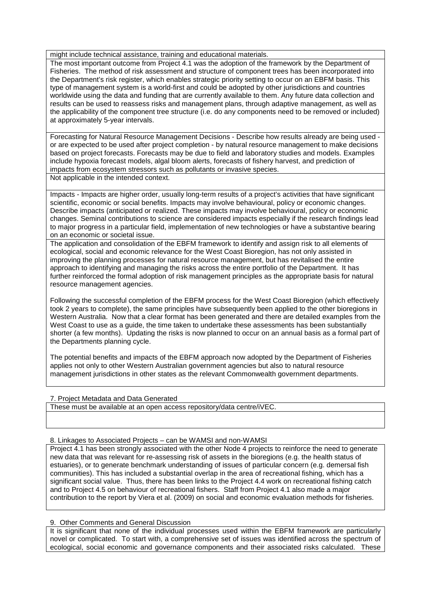might include technical assistance, training and educational materials.

The most important outcome from Project 4.1 was the adoption of the framework by the Department of Fisheries. The method of risk assessment and structure of component trees has been incorporated into the Department's risk register, which enables strategic priority setting to occur on an EBFM basis. This type of management system is a world-first and could be adopted by other jurisdictions and countries worldwide using the data and funding that are currently available to them. Any future data collection and results can be used to reassess risks and management plans, through adaptive management, as well as the applicability of the component tree structure (i.e. do any components need to be removed or included) at approximately 5-year intervals.

Forecasting for Natural Resource Management Decisions - Describe how results already are being used or are expected to be used after project completion - by natural resource management to make decisions based on project forecasts. Forecasts may be due to field and laboratory studies and models. Examples include hypoxia forecast models, algal bloom alerts, forecasts of fishery harvest, and prediction of impacts from ecosystem stressors such as pollutants or invasive species. Not applicable in the intended context.

Impacts - Impacts are higher order, usually long-term results of a project's activities that have significant scientific, economic or social benefits. Impacts may involve behavioural, policy or economic changes. Describe impacts (anticipated or realized. These impacts may involve behavioural, policy or economic changes. Seminal contributions to science are considered impacts especially if the research findings lead to major progress in a particular field, implementation of new technologies or have a substantive bearing on an economic or societal issue.

The application and consolidation of the EBFM framework to identify and assign risk to all elements of ecological, social and economic relevance for the West Coast Bioregion, has not only assisted in improving the planning processes for natural resource management, but has revitalised the entire approach to identifying and managing the risks across the entire portfolio of the Department. It has further reinforced the formal adoption of risk management principles as the appropriate basis for natural resource management agencies.

Following the successful completion of the EBFM process for the West Coast Bioregion (which effectively took 2 years to complete), the same principles have subsequently been applied to the other bioregions in Western Australia. Now that a clear format has been generated and there are detailed examples from the West Coast to use as a guide, the time taken to undertake these assessments has been substantially shorter (a few months). Updating the risks is now planned to occur on an annual basis as a formal part of the Departments planning cycle.

The potential benefits and impacts of the EBFM approach now adopted by the Department of Fisheries applies not only to other Western Australian government agencies but also to natural resource management jurisdictions in other states as the relevant Commonwealth government departments.

7. Project Metadata and Data Generated These must be available at an open access repository/data centre/iVEC.

#### 8. Linkages to Associated Projects – can be WAMSI and non-WAMSI

Project 4.1 has been strongly associated with the other Node 4 projects to reinforce the need to generate new data that was relevant for re-assessing risk of assets in the bioregions (e.g. the health status of estuaries), or to generate benchmark understanding of issues of particular concern (e.g. demersal fish communities). This has included a substantial overlap in the area of recreational fishing, which has a significant social value. Thus, there has been links to the Project 4.4 work on recreational fishing catch and to Project 4.5 on behaviour of recreational fishers. Staff from Project 4.1 also made a major contribution to the report by Viera et al. (2009) on social and economic evaluation methods for fisheries.

## 9. Other Comments and General Discussion

It is significant that none of the individual processes used within the EBFM framework are particularly novel or complicated. To start with, a comprehensive set of issues was identified across the spectrum of ecological, social economic and governance components and their associated risks calculated. These